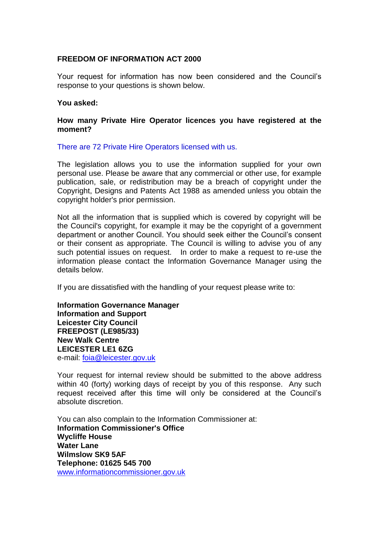## **FREEDOM OF INFORMATION ACT 2000**

Your request for information has now been considered and the Council's response to your questions is shown below.

## **You asked:**

## **How many Private Hire Operator licences you have registered at the moment?**

There are 72 Private Hire Operators licensed with us.

The legislation allows you to use the information supplied for your own personal use. Please be aware that any commercial or other use, for example publication, sale, or redistribution may be a breach of copyright under the Copyright, Designs and Patents Act 1988 as amended unless you obtain the copyright holder's prior permission.

Not all the information that is supplied which is covered by copyright will be the Council's copyright, for example it may be the copyright of a government department or another Council. You should seek either the Council's consent or their consent as appropriate. The Council is willing to advise you of any such potential issues on request. In order to make a request to re-use the information please contact the Information Governance Manager using the details below.

If you are dissatisfied with the handling of your request please write to:

**Information Governance Manager Information and Support Leicester City Council FREEPOST (LE985/33) New Walk Centre LEICESTER LE1 6ZG**  e-mail: foia@leicester.gov.uk

Your request for internal review should be submitted to the above address within 40 (forty) working days of receipt by you of this response. Any such request received after this time will only be considered at the Council's absolute discretion.

You can also complain to the Information Commissioner at: **Information Commissioner's Office Wycliffe House Water Lane Wilmslow SK9 5AF Telephone: 01625 545 700**  www.informationcommissioner.gov.uk